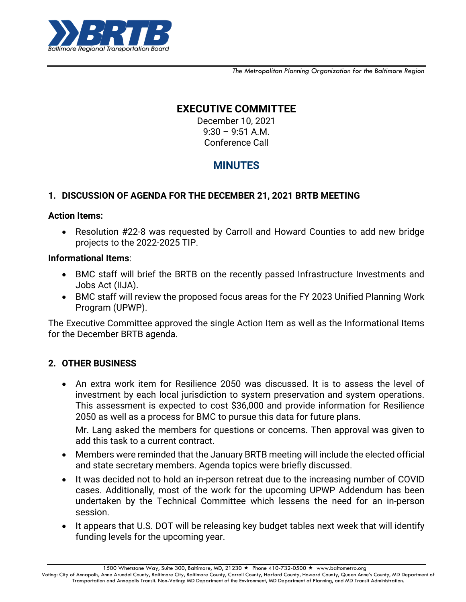

*The Metropolitan Planning Organization for the Baltimore Region*

# **EXECUTIVE COMMITTEE**

December 10, 2021 9:30 – 9:51 A.M. Conference Call

# **MINUTES**

# **1. DISCUSSION OF AGENDA FOR THE DECEMBER 21, 2021 BRTB MEETING**

#### **Action Items:**

 Resolution #22-8 was requested by Carroll and Howard Counties to add new bridge projects to the 2022-2025 TIP.

#### **Informational Items**:

- BMC staff will brief the BRTB on the recently passed Infrastructure Investments and Jobs Act (IIJA).
- BMC staff will review the proposed focus areas for the FY 2023 Unified Planning Work Program (UPWP).

The Executive Committee approved the single Action Item as well as the Informational Items for the December BRTB agenda.

## **2. OTHER BUSINESS**

 An extra work item for Resilience 2050 was discussed. It is to assess the level of investment by each local jurisdiction to system preservation and system operations. This assessment is expected to cost \$36,000 and provide information for Resilience 2050 as well as a process for BMC to pursue this data for future plans.

Mr. Lang asked the members for questions or concerns. Then approval was given to add this task to a current contract.

- Members were reminded that the January BRTB meeting will include the elected official and state secretary members. Agenda topics were briefly discussed.
- It was decided not to hold an in-person retreat due to the increasing number of COVID cases. Additionally, most of the work for the upcoming UPWP Addendum has been undertaken by the Technical Committee which lessens the need for an in-person session.
- It appears that U.S. DOT will be releasing key budget tables next week that will identify funding levels for the upcoming year.

1500 Whetstone Way, Suite 300, Baltimore, MD, 21230 ★ Phone 410-732-0500 ★ www.baltometro.org

Voting: City of Annapolis, Anne Arundel County, Baltimore City, Baltimore County, Carroll County, Harford County, Howard County, Queen Anne's County, MD Department of Transportation and Annapolis Transit. Non-Voting: MD Department of the Environment, MD Department of Planning, and MD Transit Administration.